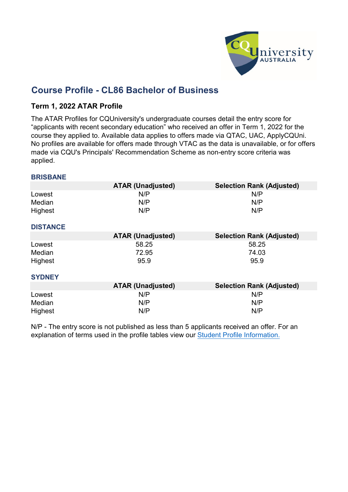

# **Course Profile - CL86 Bachelor of Business**

## **Term 1, 2022 ATAR Profile**

The ATAR Profiles for CQUniversity's undergraduate courses detail the entry score for "applicants with recent secondary education" who received an offer in Term 1, 2022 for the course they applied to. Available data applies to offers made via QTAC, UAC, ApplyCQUni. No profiles are available for offers made through VTAC as the data is unavailable, or for offers made via CQU's Principals' Recommendation Scheme as non-entry score criteria was applied.

#### **BRISBANE**

|                 | <b>ATAR (Unadjusted)</b> | <b>Selection Rank (Adjusted)</b> |
|-----------------|--------------------------|----------------------------------|
| Lowest          | N/P                      | N/P                              |
| Median          | N/P                      | N/P                              |
| Highest         | N/P                      | N/P                              |
| <b>DISTANCE</b> |                          |                                  |
|                 | <b>ATAR (Unadjusted)</b> | <b>Selection Rank (Adjusted)</b> |
| Lowest          | 58.25                    | 58.25                            |
| Median          | 72.95                    | 74.03                            |
| Highest         | 95.9                     | 95.9                             |
| <b>SYDNEY</b>   |                          |                                  |
|                 | <b>ATAR (Unadjusted)</b> | <b>Selection Rank (Adjusted)</b> |
| Lowest          | N/P                      | N/P                              |
| Median          | N/P                      | N/P                              |
| Highest         | N/P                      | N/P                              |

N/P - [The entry](https://www.cqu.edu.au/courses/future-students/your-journey/enquire/student-profile) score is not published as less than 5 applicants received an offer. For an [explanation of](https://www.cqu.edu.au/courses/future-students/your-journey/enquire/student-profile) terms [used in the profile tables](https://www.cqu.edu.au/courses/future-students/your-journey/enquire/student-profile) view our Student [Profile Information.](https://www.cqu.edu.au/courses/future-students/your-journey/enquire/student-profile)